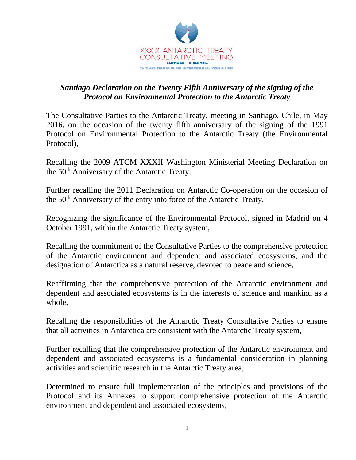

## *Santiago Declaration on the Twenty Fifth Anniversary of the signing of the Protocol on Environmental Protection to the Antarctic Treaty*

The Consultative Parties to the Antarctic Treaty, meeting in Santiago, Chile, in May 2016, on the occasion of the twenty fifth anniversary of the signing of the 1991 Protocol on Environmental Protection to the Antarctic Treaty (the Environmental Protocol),

Recalling the 2009 ATCM XXXII Washington Ministerial Meeting Declaration on the 50<sup>th</sup> Anniversary of the Antarctic Treaty,

Further recalling the 2011 Declaration on Antarctic Co-operation on the occasion of the 50th Anniversary of the entry into force of the Antarctic Treaty,

Recognizing the significance of the Environmental Protocol, signed in Madrid on 4 October 1991, within the Antarctic Treaty system,

Recalling the commitment of the Consultative Parties to the comprehensive protection of the Antarctic environment and dependent and associated ecosystems, and the designation of Antarctica as a natural reserve, devoted to peace and science,

Reaffirming that the comprehensive protection of the Antarctic environment and dependent and associated ecosystems is in the interests of science and mankind as a whole,

Recalling the responsibilities of the Antarctic Treaty Consultative Parties to ensure that all activities in Antarctica are consistent with the Antarctic Treaty system,

Further recalling that the comprehensive protection of the Antarctic environment and dependent and associated ecosystems is a fundamental consideration in planning activities and scientific research in the Antarctic Treaty area,

Determined to ensure full implementation of the principles and provisions of the Protocol and its Annexes to support comprehensive protection of the Antarctic environment and dependent and associated ecosystems,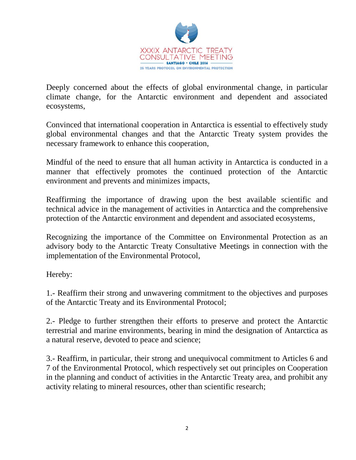

Deeply concerned about the effects of global environmental change, in particular climate change, for the Antarctic environment and dependent and associated ecosystems,

Convinced that international cooperation in Antarctica is essential to effectively study global environmental changes and that the Antarctic Treaty system provides the necessary framework to enhance this cooperation,

Mindful of the need to ensure that all human activity in Antarctica is conducted in a manner that effectively promotes the continued protection of the Antarctic environment and prevents and minimizes impacts,

Reaffirming the importance of drawing upon the best available scientific and technical advice in the management of activities in Antarctica and the comprehensive protection of the Antarctic environment and dependent and associated ecosystems,

Recognizing the importance of the Committee on Environmental Protection as an advisory body to the Antarctic Treaty Consultative Meetings in connection with the implementation of the Environmental Protocol,

Hereby:

1.- Reaffirm their strong and unwavering commitment to the objectives and purposes of the Antarctic Treaty and its Environmental Protocol;

2.- Pledge to further strengthen their efforts to preserve and protect the Antarctic terrestrial and marine environments, bearing in mind the designation of Antarctica as a natural reserve, devoted to peace and science;

3.- Reaffirm, in particular, their strong and unequivocal commitment to Articles 6 and 7 of the Environmental Protocol, which respectively set out principles on Cooperation in the planning and conduct of activities in the Antarctic Treaty area, and prohibit any activity relating to mineral resources, other than scientific research;